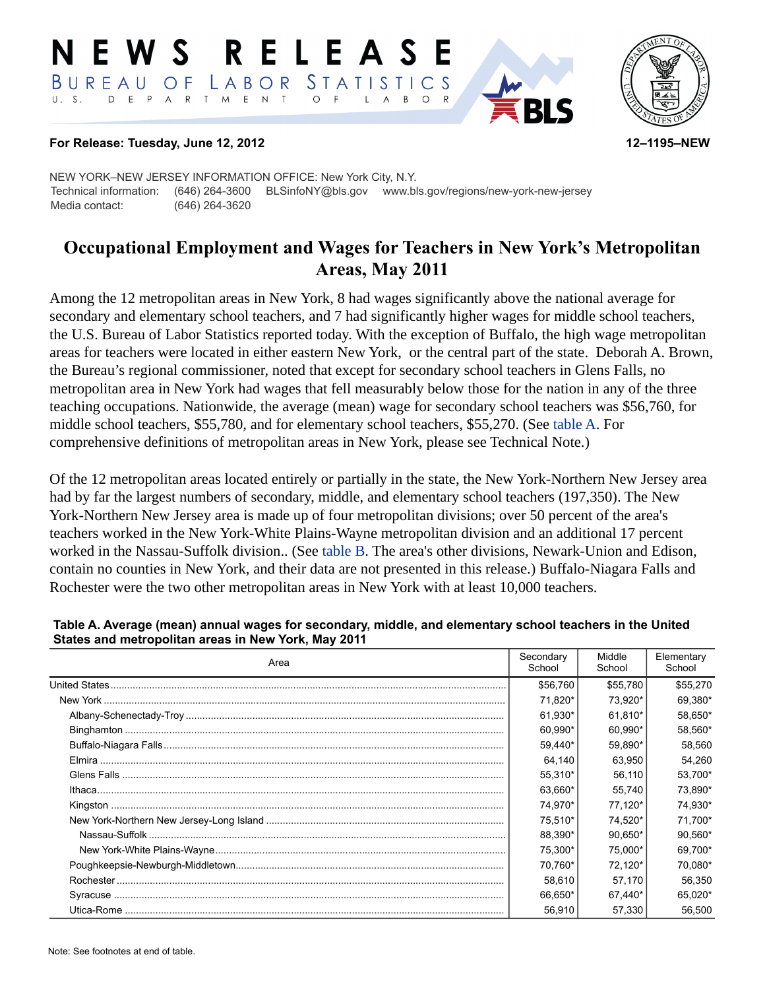#### RELEASE NEWS LABOR STATISTICS BUREAU OF D E P A R T M E N T  $\circ$  $U. S.$  $\overline{A}$ B  $\circ$  $\mathsf{L}$



#### **For Release: Tuesday, June 12, 2012 12–1195–NEW**

NEW YORK–NEW JERSEY INFORMATION OFFICE: New York City, N.Y. Technical information: (646) 264-3600 BLSinfoNY@bls.gov www.bls.gov/regions/new-york-new-jersey Media contact: (646) 264-3620

# **Occupational Employment and Wages for Teachers in New York's Metropolitan Areas, May 2011**

Among the 12 metropolitan areas in New York, 8 had wages significantly above the national average for secondary and elementary school teachers, and 7 had significantly higher wages for middle school teachers, the U.S. Bureau of Labor Statistics reported today. With the exception of Buffalo, the high wage metropolitan areas for teachers were located in either eastern New York, or the central part of the state. Deborah A. Brown, the Bureau's regional commissioner, noted that except for secondary school teachers in Glens Falls, no metropolitan area in New York had wages that fell measurably below those for the nation in any of the three teaching occupations. Nationwide, the average (mean) wage for secondary school teachers was \$56,760, for middle school teachers, \$55,780, and for elementary school teachers, \$55,270. (See [table A](#page-0-0). For comprehensive definitions of metropolitan areas in New York, please see Technical Note.)

Of the 12 metropolitan areas located entirely or partially in the state, the New York-Northern New Jersey area had by far the largest numbers of secondary, middle, and elementary school teachers (197,350). The New York-Northern New Jersey area is made up of four metropolitan divisions; over 50 percent of the area's teachers worked in the New York-White Plains-Wayne metropolitan division and an additional 17 percent worked in the Nassau-Suffolk division.. (See [table B](#page-1-0). The area's other divisions, Newark-Union and Edison, contain no counties in New York, and their data are not presented in this release.) Buffalo-Niagara Falls and Rochester were the two other metropolitan areas in New York with at least 10,000 teachers.

| Area | Secondary<br>School | Middle<br>School | Elementary<br>School |
|------|---------------------|------------------|----------------------|
|      | \$56,760            | \$55,780         | \$55,270             |
|      | 71.820*             | 73.920*          | 69.380*              |
|      | 61,930*             | 61.810*          | 58,650*              |
|      | 60.990*             | 60.990*          | 58,560*              |
|      | 59.440*             | 59.890*          | 58.560               |
|      | 64.140              | 63.950           | 54.260               |
|      | 55.310*             | 56.110           | 53,700*              |
|      | 63,660*             | 55.740           | 73,890*              |
|      | 74.970*             | 77.120*          | 74,930*              |
|      | 75.510*             | 74.520*          | 71.700*              |
|      | 88.390*             | 90,650*          | 90.560*              |
|      | 75.300*             | 75,000*          | 69,700*              |
|      | 70.760*             | 72.120*          | 70.080*              |
|      | 58.610              | 57.170           | 56,350               |
|      | 66.650*             | 67,440*          | 65,020*              |
|      | 56.910              | 57.330           | 56,500               |

#### <span id="page-0-0"></span>**Table A. Average (mean) annual wages for secondary, middle, and elementary school teachers in the United States and metropolitan areas in New York, May 2011**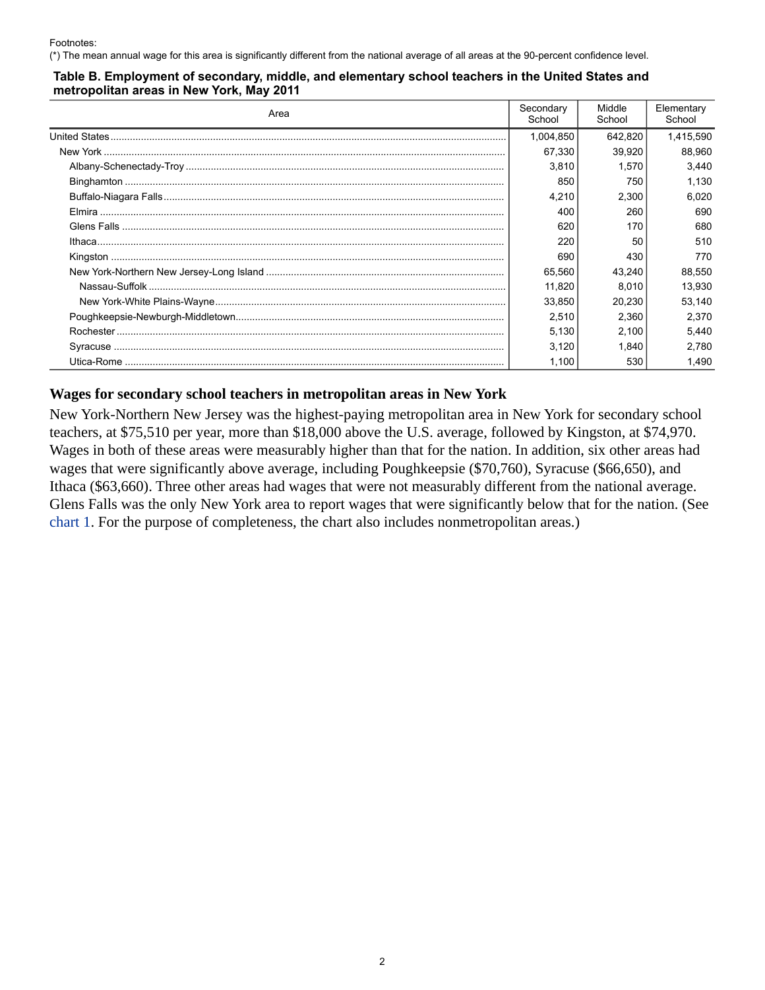#### <span id="page-1-0"></span>**Table B. Employment of secondary, middle, and elementary school teachers in the United States and metropolitan areas in New York, May 2011**

| Area | Secondary<br>School | Middle<br>School | Elementary<br>School |
|------|---------------------|------------------|----------------------|
|      | 1,004,850           | 642,820          | 1,415,590            |
|      | 67.330              | 39.920           | 88,960               |
|      | 3,810               | 1,570            | 3,440                |
|      | 850                 | 750              | 1,130                |
|      | 4,210               | 2,300            | 6,020                |
|      | 400                 | 260              | 690                  |
|      | 620                 | 170              | 680                  |
|      | 220                 | 50               | 510                  |
|      | 690                 | 430              | 770                  |
|      | 65,560              | 43,240           | 88,550               |
|      | 11.820              | 8.010            | 13.930               |
|      | 33,850              | 20,230           | 53,140               |
|      | 2,510               | 2,360            | 2,370                |
|      | 5,130               | 2,100            | 5,440                |
|      | 3,120               | 1,840            | 2,780                |
|      | 1.100               | 530              | 1,490                |

#### **Wages for secondary school teachers in metropolitan areas in New York**

New York-Northern New Jersey was the highest-paying metropolitan area in New York for secondary school teachers, at \$75,510 per year, more than \$18,000 above the U.S. average, followed by Kingston, at \$74,970. Wages in both of these areas were measurably higher than that for the nation. In addition, six other areas had wages that were significantly above average, including Poughkeepsie (\$70,760), Syracuse (\$66,650), and Ithaca (\$63,660). Three other areas had wages that were not measurably different from the national average. Glens Falls was the only New York area to report wages that were significantly below that for the nation. (See [chart 1.](#page-2-0) For the purpose of completeness, the chart also includes nonmetropolitan areas.)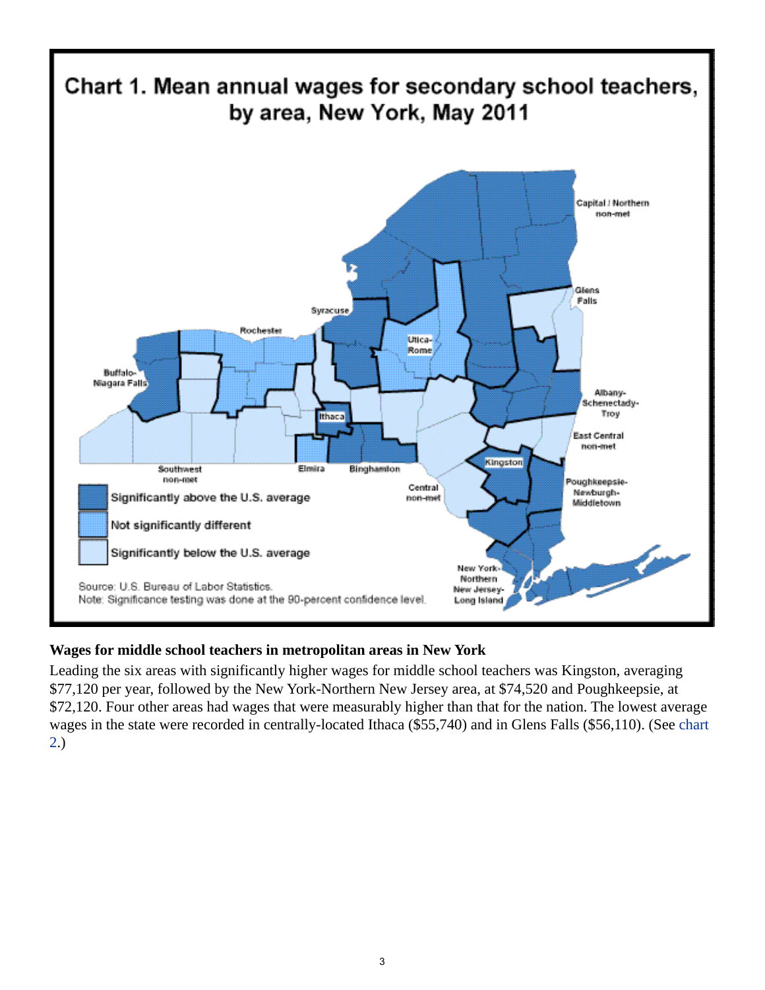<span id="page-2-0"></span>

## **Wages for middle school teachers in metropolitan areas in New York**

Leading the six areas with significantly higher wages for middle school teachers was Kingston, averaging \$77,120 per year, followed by the New York-Northern New Jersey area, at \$74,520 and Poughkeepsie, at \$72,120. Four other areas had wages that were measurably higher than that for the nation. The lowest average wages in the state were recorded in centrally-located Ithaca (\$55,740) and in Glens Falls (\$56,110). (See [chart](#page-3-0)  [2.](#page-3-0))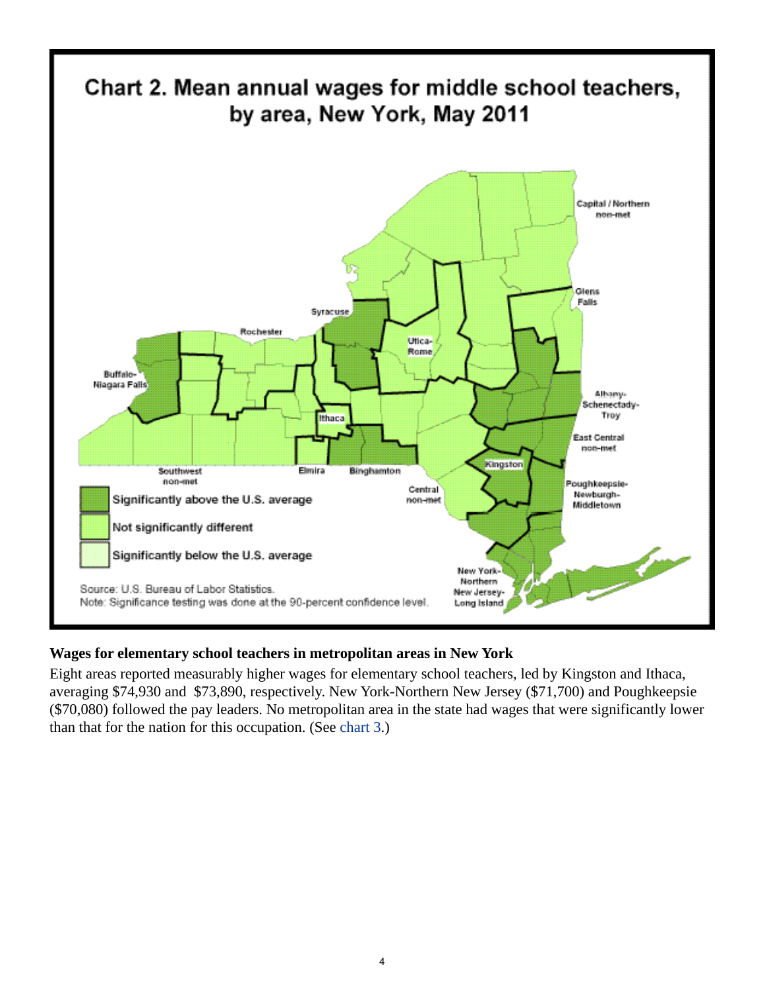<span id="page-3-0"></span>

## **Wages for elementary school teachers in metropolitan areas in New York**

Eight areas reported measurably higher wages for elementary school teachers, led by Kingston and Ithaca, averaging \$74,930 and \$73,890, respectively. New York-Northern New Jersey (\$71,700) and Poughkeepsie (\$70,080) followed the pay leaders. No metropolitan area in the state had wages that were significantly lower than that for the nation for this occupation. (See [chart 3](#page-4-0).)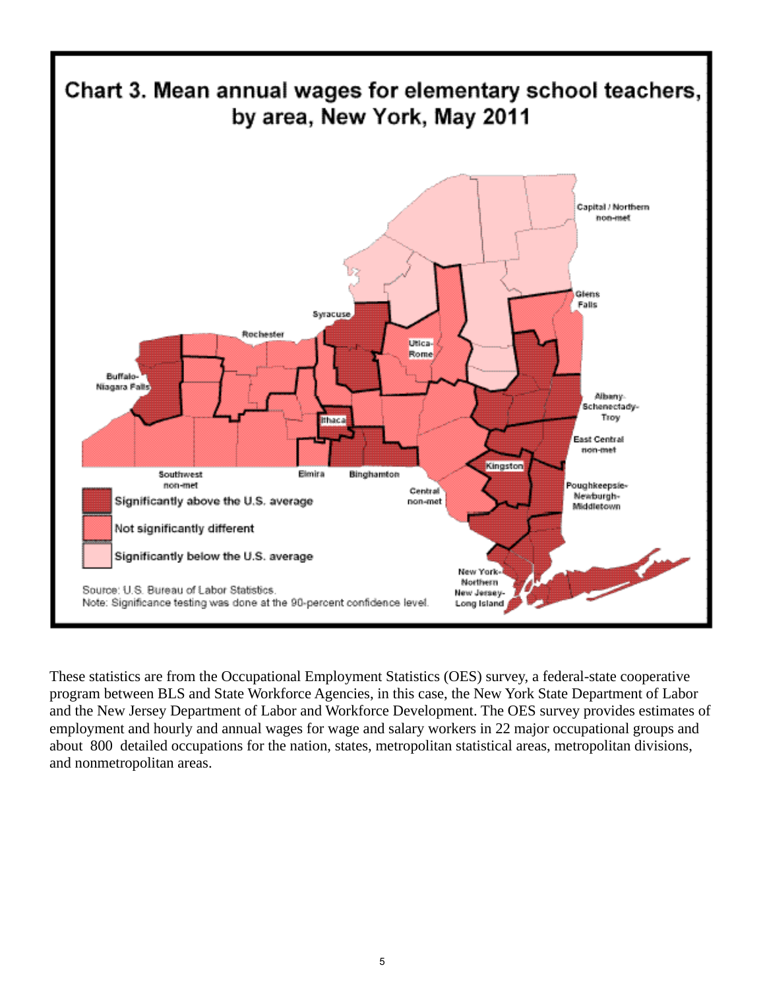<span id="page-4-0"></span>

These statistics are from the Occupational Employment Statistics (OES) survey, a federal-state cooperative program between BLS and State Workforce Agencies, in this case, the New York State Department of Labor and the New Jersey Department of Labor and Workforce Development. The OES survey provides estimates of employment and hourly and annual wages for wage and salary workers in 22 major occupational groups and about 800 detailed occupations for the nation, states, metropolitan statistical areas, metropolitan divisions, and nonmetropolitan areas.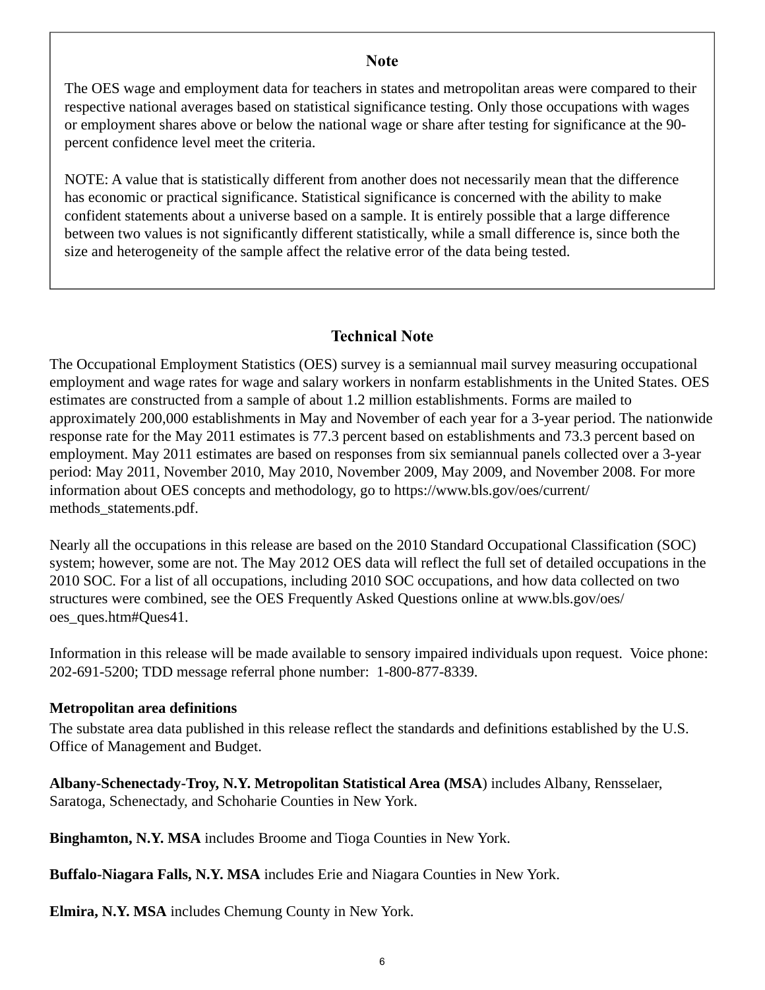#### **Note**

The OES wage and employment data for teachers in states and metropolitan areas were compared to their respective national averages based on statistical significance testing. Only those occupations with wages or employment shares above or below the national wage or share after testing for significance at the 90 percent confidence level meet the criteria.

NOTE: A value that is statistically different from another does not necessarily mean that the difference has economic or practical significance. Statistical significance is concerned with the ability to make confident statements about a universe based on a sample. It is entirely possible that a large difference between two values is not significantly different statistically, while a small difference is, since both the size and heterogeneity of the sample affect the relative error of the data being tested.

## **Technical Note**

The Occupational Employment Statistics (OES) survey is a semiannual mail survey measuring occupational employment and wage rates for wage and salary workers in nonfarm establishments in the United States. OES estimates are constructed from a sample of about 1.2 million establishments. Forms are mailed to approximately 200,000 establishments in May and November of each year for a 3-year period. The nationwide response rate for the May 2011 estimates is 77.3 percent based on establishments and 73.3 percent based on employment. May 2011 estimates are based on responses from six semiannual panels collected over a 3-year period: May 2011, November 2010, May 2010, November 2009, May 2009, and November 2008. For more information about OES concepts and methodology, go to https://www.bls.gov/oes/current/ methods\_statements.pdf.

Nearly all the occupations in this release are based on the 2010 Standard Occupational Classification (SOC) system; however, some are not. The May 2012 OES data will reflect the full set of detailed occupations in the 2010 SOC. For a list of all occupations, including 2010 SOC occupations, and how data collected on two structures were combined, see the OES Frequently Asked Questions online at www.bls.gov/oes/ oes\_ques.htm#Ques41.

Information in this release will be made available to sensory impaired individuals upon request. Voice phone: 202-691-5200; TDD message referral phone number: 1-800-877-8339.

## **Metropolitan area definitions**

The substate area data published in this release reflect the standards and definitions established by the U.S. Office of Management and Budget.

**Albany-Schenectady-Troy, N.Y. Metropolitan Statistical Area (MSA**) includes Albany, Rensselaer, Saratoga, Schenectady, and Schoharie Counties in New York.

**Binghamton, N.Y. MSA** includes Broome and Tioga Counties in New York.

**Buffalo-Niagara Falls, N.Y. MSA** includes Erie and Niagara Counties in New York.

**Elmira, N.Y. MSA** includes Chemung County in New York.